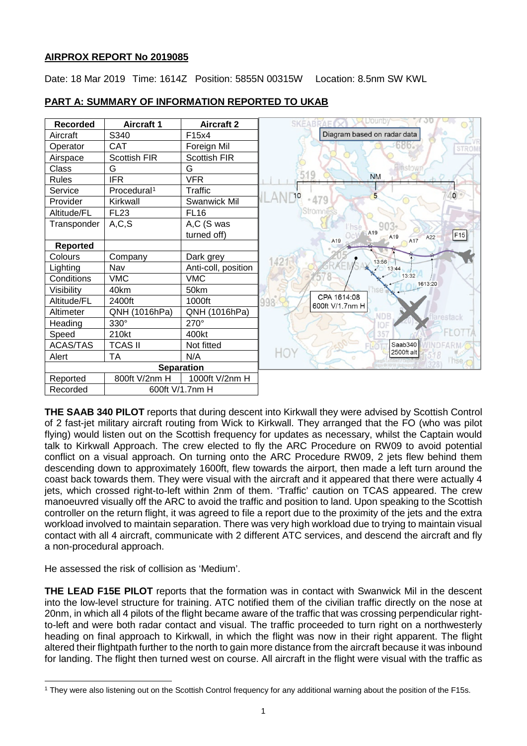## **AIRPROX REPORT No 2019085**

Date: 18 Mar 2019 Time: 1614Z Position: 5855N 00315W Location: 8.5nm SW KWL

| <b>Recorded</b>   | <b>Aircraft 1</b>       | <b>Aircraft 2</b>   | L'Ouno<br><b>SKEABRAE</b>                                      |
|-------------------|-------------------------|---------------------|----------------------------------------------------------------|
| Aircraft          | S340                    | F15x4               | Diagram based on radar data                                    |
| Operator          | <b>CAT</b>              | Foreign Mil         | <b>STROM</b>                                                   |
| Airspace          | Scottish FIR            | <b>Scottish FIR</b> |                                                                |
| Class             | G                       | G                   | linstow                                                        |
| <b>Rules</b>      | <b>IFR</b>              | <b>VFR</b>          | <b>NM</b>                                                      |
| Service           | Procedural <sup>1</sup> | Traffic             | $\mathbf 0$<br>5                                               |
| Provider          | Kirkwall                | Swanwick Mil        | 479                                                            |
| Altitude/FL       | <b>FL23</b>             | <b>FL16</b>         | Stromnes                                                       |
| Transponder       | A, C, S                 | A,C (S was          | hse                                                            |
|                   |                         | turned off)         | A <sub>19</sub><br>F15<br>A <sub>19</sub><br>A22<br>A17<br>A19 |
| <b>Reported</b>   |                         |                     |                                                                |
| Colours           | Company                 | Dark grey           | 42<br>13:56                                                    |
| Lighting          | Nav                     | Anti-coll, position | 13:44                                                          |
| Conditions        | <b>VMC</b>              | <b>VMC</b>          | 13:32<br>1613:20                                               |
| Visibility        | 40km                    | 50km                |                                                                |
| Altitude/FL       | 2400ft                  | 1000ft              | CPA 1614:08<br>998<br>600ft V/1.7nm H                          |
| Altimeter         | QNH (1016hPa)           | QNH (1016hPa)       | restack                                                        |
| Heading           | 330°                    | 270°                |                                                                |
| Speed             | 210kt                   | 400kt               |                                                                |
| <b>ACAS/TAS</b>   | <b>TCAS II</b>          | Not fitted          | Saab340                                                        |
| Alert             | TA                      | N/A                 | HOY<br>2500ft alt<br>linse                                     |
| <b>Separation</b> |                         |                     |                                                                |
| Reported          | 800ft V/2nm H           | 1000ft V/2nm H      |                                                                |
| Recorded          | 600ft V/1.7nm H         |                     |                                                                |

## **PART A: SUMMARY OF INFORMATION REPORTED TO UKAB**

**THE SAAB 340 PILOT** reports that during descent into Kirkwall they were advised by Scottish Control of 2 fast-jet military aircraft routing from Wick to Kirkwall. They arranged that the FO (who was pilot flying) would listen out on the Scottish frequency for updates as necessary, whilst the Captain would talk to Kirkwall Approach. The crew elected to fly the ARC Procedure on RW09 to avoid potential conflict on a visual approach. On turning onto the ARC Procedure RW09, 2 jets flew behind them descending down to approximately 1600ft, flew towards the airport, then made a left turn around the coast back towards them. They were visual with the aircraft and it appeared that there were actually 4 jets, which crossed right-to-left within 2nm of them. 'Traffic' caution on TCAS appeared. The crew manoeuvred visually off the ARC to avoid the traffic and position to land. Upon speaking to the Scottish controller on the return flight, it was agreed to file a report due to the proximity of the jets and the extra workload involved to maintain separation. There was very high workload due to trying to maintain visual contact with all 4 aircraft, communicate with 2 different ATC services, and descend the aircraft and fly a non-procedural approach.

He assessed the risk of collision as 'Medium'.

 $\overline{\phantom{a}}$ 

**THE LEAD F15E PILOT** reports that the formation was in contact with Swanwick Mil in the descent into the low-level structure for training. ATC notified them of the civilian traffic directly on the nose at 20nm, in which all 4 pilots of the flight became aware of the traffic that was crossing perpendicular rightto-left and were both radar contact and visual. The traffic proceeded to turn right on a northwesterly heading on final approach to Kirkwall, in which the flight was now in their right apparent. The flight altered their flightpath further to the north to gain more distance from the aircraft because it was inbound for landing. The flight then turned west on course. All aircraft in the flight were visual with the traffic as

<span id="page-0-0"></span><sup>1</sup> They were also listening out on the Scottish Control frequency for any additional warning about the position of the F15s.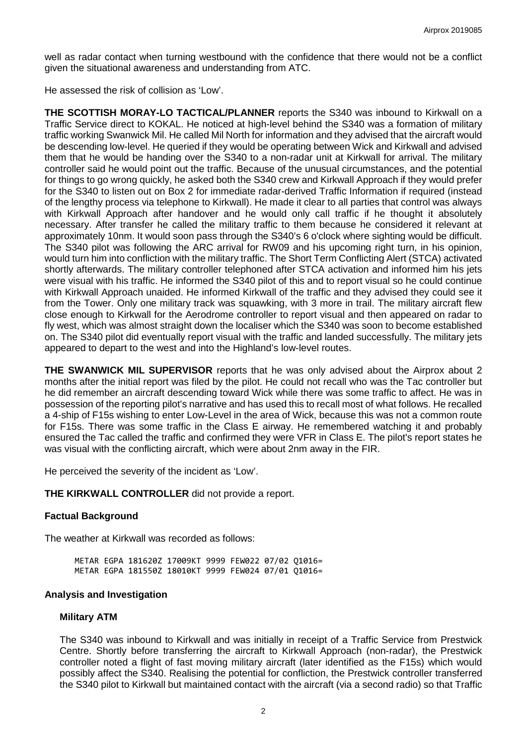well as radar contact when turning westbound with the confidence that there would not be a conflict given the situational awareness and understanding from ATC.

He assessed the risk of collision as 'Low'.

**THE SCOTTISH MORAY-LO TACTICAL/PLANNER** reports the S340 was inbound to Kirkwall on a Traffic Service direct to KOKAL. He noticed at high-level behind the S340 was a formation of military traffic working Swanwick Mil. He called Mil North for information and they advised that the aircraft would be descending low-level. He queried if they would be operating between Wick and Kirkwall and advised them that he would be handing over the S340 to a non-radar unit at Kirkwall for arrival. The military controller said he would point out the traffic. Because of the unusual circumstances, and the potential for things to go wrong quickly, he asked both the S340 crew and Kirkwall Approach if they would prefer for the S340 to listen out on Box 2 for immediate radar-derived Traffic Information if required (instead of the lengthy process via telephone to Kirkwall). He made it clear to all parties that control was always with Kirkwall Approach after handover and he would only call traffic if he thought it absolutely necessary. After transfer he called the military traffic to them because he considered it relevant at approximately 10nm. It would soon pass through the S340's 6 o'clock where sighting would be difficult. The S340 pilot was following the ARC arrival for RW09 and his upcoming right turn, in his opinion, would turn him into confliction with the military traffic. The Short Term Conflicting Alert (STCA) activated shortly afterwards. The military controller telephoned after STCA activation and informed him his jets were visual with his traffic. He informed the S340 pilot of this and to report visual so he could continue with Kirkwall Approach unaided. He informed Kirkwall of the traffic and they advised they could see it from the Tower. Only one military track was squawking, with 3 more in trail. The military aircraft flew close enough to Kirkwall for the Aerodrome controller to report visual and then appeared on radar to fly west, which was almost straight down the localiser which the S340 was soon to become established on. The S340 pilot did eventually report visual with the traffic and landed successfully. The military jets appeared to depart to the west and into the Highland's low-level routes.

**THE SWANWICK MIL SUPERVISOR** reports that he was only advised about the Airprox about 2 months after the initial report was filed by the pilot. He could not recall who was the Tac controller but he did remember an aircraft descending toward Wick while there was some traffic to affect. He was in possession of the reporting pilot's narrative and has used this to recall most of what follows. He recalled a 4-ship of F15s wishing to enter Low-Level in the area of Wick, because this was not a common route for F15s. There was some traffic in the Class E airway. He remembered watching it and probably ensured the Tac called the traffic and confirmed they were VFR in Class E. The pilot's report states he was visual with the conflicting aircraft, which were about 2nm away in the FIR.

He perceived the severity of the incident as 'Low'.

**THE KIRKWALL CONTROLLER** did not provide a report.

## **Factual Background**

The weather at Kirkwall was recorded as follows:

METAR EGPA 181620Z 17009KT 9999 FEW022 07/02 Q1016= METAR EGPA 181550Z 18010KT 9999 FEW024 07/01 Q1016=

#### **Analysis and Investigation**

#### **Military ATM**

The S340 was inbound to Kirkwall and was initially in receipt of a Traffic Service from Prestwick Centre. Shortly before transferring the aircraft to Kirkwall Approach (non-radar), the Prestwick controller noted a flight of fast moving military aircraft (later identified as the F15s) which would possibly affect the S340. Realising the potential for confliction, the Prestwick controller transferred the S340 pilot to Kirkwall but maintained contact with the aircraft (via a second radio) so that Traffic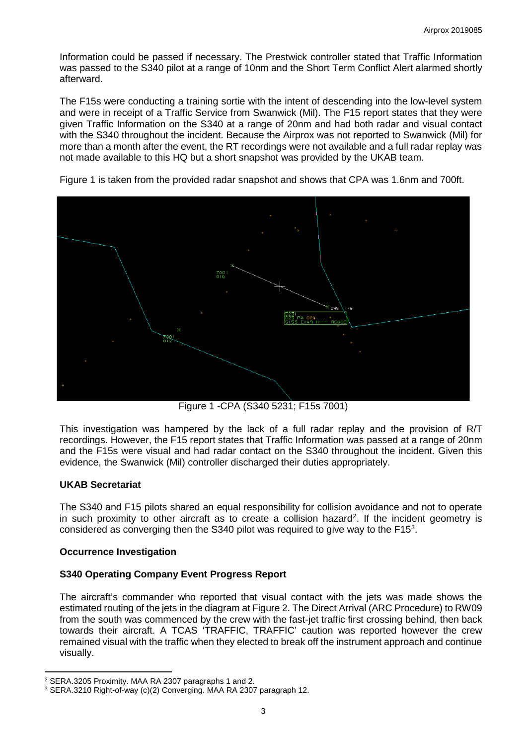Information could be passed if necessary. The Prestwick controller stated that Traffic Information was passed to the S340 pilot at a range of 10nm and the Short Term Conflict Alert alarmed shortly afterward.

The F15s were conducting a training sortie with the intent of descending into the low-level system and were in receipt of a Traffic Service from Swanwick (Mil). The F15 report states that they were given Traffic Information on the S340 at a range of 20nm and had both radar and visual contact with the S340 throughout the incident. Because the Airprox was not reported to Swanwick (Mil) for more than a month after the event, the RT recordings were not available and a full radar replay was not made available to this HQ but a short snapshot was provided by the UKAB team.

 $^{700}_{016}$ PA 024<br>IL49 H-

Figure 1 is taken from the provided radar snapshot and shows that CPA was 1.6nm and 700ft.

Figure 1 -CPA (S340 5231; F15s 7001)

This investigation was hampered by the lack of a full radar replay and the provision of R/T recordings. However, the F15 report states that Traffic Information was passed at a range of 20nm and the F15s were visual and had radar contact on the S340 throughout the incident. Given this evidence, the Swanwick (Mil) controller discharged their duties appropriately.

#### **UKAB Secretariat**

l

The S340 and F15 pilots shared an equal responsibility for collision avoidance and not to operate in such proximity to other aircraft as to create a collision hazard<sup>[2](#page-2-0)</sup>. If the incident geometry is considered as converging then the S[3](#page-2-1)40 pilot was required to give way to the F15 $3$ .

#### **Occurrence Investigation**

## **S340 Operating Company Event Progress Report**

The aircraft's commander who reported that visual contact with the jets was made shows the estimated routing of the jets in the diagram at Figure 2. The Direct Arrival (ARC Procedure) to RW09 from the south was commenced by the crew with the fast-jet traffic first crossing behind, then back towards their aircraft. A TCAS 'TRAFFIC, TRAFFIC' caution was reported however the crew remained visual with the traffic when they elected to break off the instrument approach and continue visually.

<span id="page-2-0"></span><sup>2</sup> SERA.3205 Proximity. MAA RA 2307 paragraphs 1 and 2.

<span id="page-2-1"></span><sup>3</sup> SERA.3210 Right-of-way (c)(2) Converging. MAA RA 2307 paragraph 12.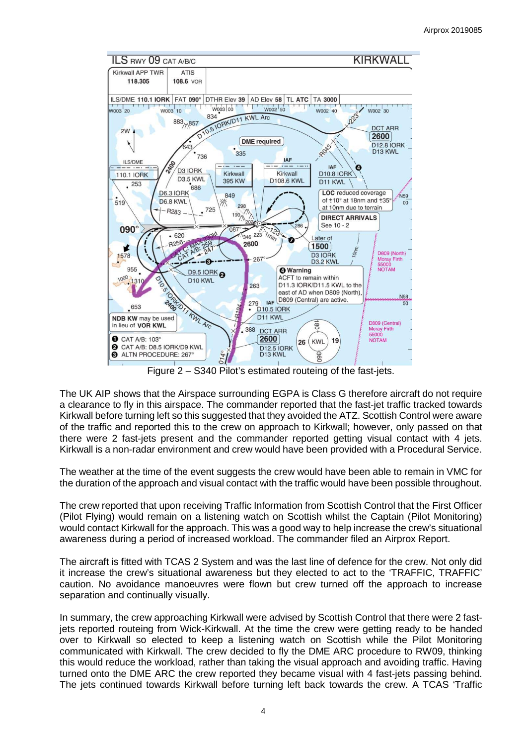

Figure 2 – S340 Pilot's estimated routeing of the fast-jets.

The UK AIP shows that the Airspace surrounding EGPA is Class G therefore aircraft do not require a clearance to fly in this airspace. The commander reported that the fast-jet traffic tracked towards Kirkwall before turning left so this suggested that they avoided the ATZ. Scottish Control were aware of the traffic and reported this to the crew on approach to Kirkwall; however, only passed on that there were 2 fast-jets present and the commander reported getting visual contact with 4 jets. Kirkwall is a non-radar environment and crew would have been provided with a Procedural Service.

The weather at the time of the event suggests the crew would have been able to remain in VMC for the duration of the approach and visual contact with the traffic would have been possible throughout.

The crew reported that upon receiving Traffic Information from Scottish Control that the First Officer (Pilot Flying) would remain on a listening watch on Scottish whilst the Captain (Pilot Monitoring) would contact Kirkwall for the approach. This was a good way to help increase the crew's situational awareness during a period of increased workload. The commander filed an Airprox Report.

The aircraft is fitted with TCAS 2 System and was the last line of defence for the crew. Not only did it increase the crew's situational awareness but they elected to act to the 'TRAFFIC, TRAFFIC' caution. No avoidance manoeuvres were flown but crew turned off the approach to increase separation and continually visually.

In summary, the crew approaching Kirkwall were advised by Scottish Control that there were 2 fastjets reported routeing from Wick-Kirkwall. At the time the crew were getting ready to be handed over to Kirkwall so elected to keep a listening watch on Scottish while the Pilot Monitoring communicated with Kirkwall. The crew decided to fly the DME ARC procedure to RW09, thinking this would reduce the workload, rather than taking the visual approach and avoiding traffic. Having turned onto the DME ARC the crew reported they became visual with 4 fast-jets passing behind. The jets continued towards Kirkwall before turning left back towards the crew. A TCAS 'Traffic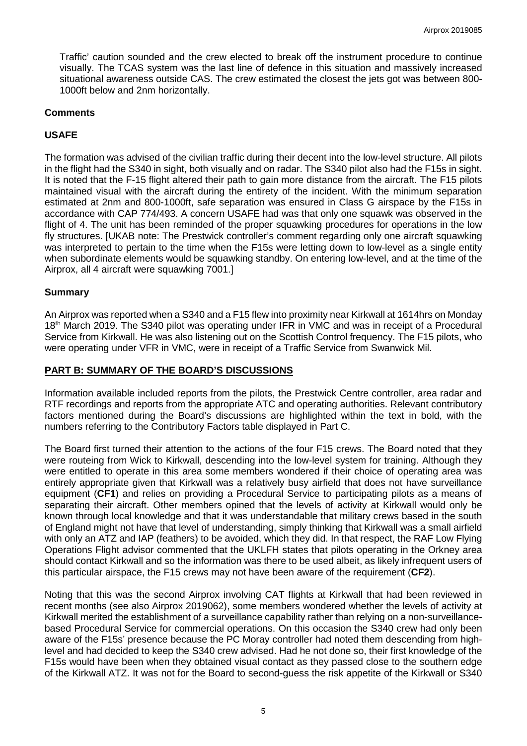Traffic' caution sounded and the crew elected to break off the instrument procedure to continue visually. The TCAS system was the last line of defence in this situation and massively increased situational awareness outside CAS. The crew estimated the closest the jets got was between 800- 1000ft below and 2nm horizontally.

#### **Comments**

## **USAFE**

The formation was advised of the civilian traffic during their decent into the low-level structure. All pilots in the flight had the S340 in sight, both visually and on radar. The S340 pilot also had the F15s in sight. It is noted that the F-15 flight altered their path to gain more distance from the aircraft. The F15 pilots maintained visual with the aircraft during the entirety of the incident. With the minimum separation estimated at 2nm and 800-1000ft, safe separation was ensured in Class G airspace by the F15s in accordance with CAP 774/493. A concern USAFE had was that only one squawk was observed in the flight of 4. The unit has been reminded of the proper squawking procedures for operations in the low fly structures. [UKAB note: The Prestwick controller's comment regarding only one aircraft squawking was interpreted to pertain to the time when the F15s were letting down to low-level as a single entity when subordinate elements would be squawking standby. On entering low-level, and at the time of the Airprox, all 4 aircraft were squawking 7001.]

#### **Summary**

An Airprox was reported when a S340 and a F15 flew into proximity near Kirkwall at 1614hrs on Monday 18<sup>th</sup> March 2019. The S340 pilot was operating under IFR in VMC and was in receipt of a Procedural Service from Kirkwall. He was also listening out on the Scottish Control frequency. The F15 pilots, who were operating under VFR in VMC, were in receipt of a Traffic Service from Swanwick Mil.

## **PART B: SUMMARY OF THE BOARD'S DISCUSSIONS**

Information available included reports from the pilots, the Prestwick Centre controller, area radar and RTF recordings and reports from the appropriate ATC and operating authorities. Relevant contributory factors mentioned during the Board's discussions are highlighted within the text in bold, with the numbers referring to the Contributory Factors table displayed in Part C.

The Board first turned their attention to the actions of the four F15 crews. The Board noted that they were routeing from Wick to Kirkwall, descending into the low-level system for training. Although they were entitled to operate in this area some members wondered if their choice of operating area was entirely appropriate given that Kirkwall was a relatively busy airfield that does not have surveillance equipment (**CF1**) and relies on providing a Procedural Service to participating pilots as a means of separating their aircraft. Other members opined that the levels of activity at Kirkwall would only be known through local knowledge and that it was understandable that military crews based in the south of England might not have that level of understanding, simply thinking that Kirkwall was a small airfield with only an ATZ and IAP (feathers) to be avoided, which they did. In that respect, the RAF Low Flying Operations Flight advisor commented that the UKLFH states that pilots operating in the Orkney area should contact Kirkwall and so the information was there to be used albeit, as likely infrequent users of this particular airspace, the F15 crews may not have been aware of the requirement (**CF2**).

Noting that this was the second Airprox involving CAT flights at Kirkwall that had been reviewed in recent months (see also Airprox 2019062), some members wondered whether the levels of activity at Kirkwall merited the establishment of a surveillance capability rather than relying on a non-surveillancebased Procedural Service for commercial operations. On this occasion the S340 crew had only been aware of the F15s' presence because the PC Moray controller had noted them descending from highlevel and had decided to keep the S340 crew advised. Had he not done so, their first knowledge of the F15s would have been when they obtained visual contact as they passed close to the southern edge of the Kirkwall ATZ. It was not for the Board to second-guess the risk appetite of the Kirkwall or S340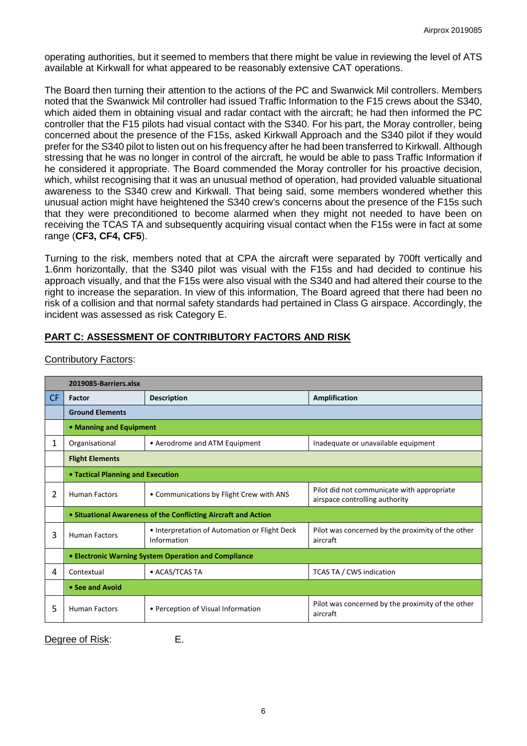operating authorities, but it seemed to members that there might be value in reviewing the level of ATS available at Kirkwall for what appeared to be reasonably extensive CAT operations.

The Board then turning their attention to the actions of the PC and Swanwick Mil controllers. Members noted that the Swanwick Mil controller had issued Traffic Information to the F15 crews about the S340, which aided them in obtaining visual and radar contact with the aircraft; he had then informed the PC controller that the F15 pilots had visual contact with the S340. For his part, the Moray controller, being concerned about the presence of the F15s, asked Kirkwall Approach and the S340 pilot if they would prefer for the S340 pilot to listen out on his frequency after he had been transferred to Kirkwall. Although stressing that he was no longer in control of the aircraft, he would be able to pass Traffic Information if he considered it appropriate. The Board commended the Moray controller for his proactive decision, which, whilst recognising that it was an unusual method of operation, had provided valuable situational awareness to the S340 crew and Kirkwall. That being said, some members wondered whether this unusual action might have heightened the S340 crew's concerns about the presence of the F15s such that they were preconditioned to become alarmed when they might not needed to have been on receiving the TCAS TA and subsequently acquiring visual contact when the F15s were in fact at some range (**CF3, CF4, CF5**).

Turning to the risk, members noted that at CPA the aircraft were separated by 700ft vertically and 1.6nm horizontally, that the S340 pilot was visual with the F15s and had decided to continue his approach visually, and that the F15s were also visual with the S340 and had altered their course to the right to increase the separation. In view of this information, The Board agreed that there had been no risk of a collision and that normal safety standards had pertained in Class G airspace. Accordingly, the incident was assessed as risk Category E.

# **PART C: ASSESSMENT OF CONTRIBUTORY FACTORS AND RISK**

|    | 2019085-Barriers.xlsx                                          |                                                              |                                                                              |  |  |  |
|----|----------------------------------------------------------------|--------------------------------------------------------------|------------------------------------------------------------------------------|--|--|--|
| CF | Factor                                                         | <b>Description</b>                                           | <b>Amplification</b>                                                         |  |  |  |
|    | <b>Ground Elements</b>                                         |                                                              |                                                                              |  |  |  |
|    | • Manning and Equipment                                        |                                                              |                                                                              |  |  |  |
| 1  | Organisational                                                 | • Aerodrome and ATM Equipment                                | Inadequate or unavailable equipment                                          |  |  |  |
|    | <b>Flight Elements</b>                                         |                                                              |                                                                              |  |  |  |
|    | <b>• Tactical Planning and Execution</b>                       |                                                              |                                                                              |  |  |  |
| 2  | <b>Human Factors</b>                                           | • Communications by Flight Crew with ANS                     | Pilot did not communicate with appropriate<br>airspace controlling authority |  |  |  |
|    | • Situational Awareness of the Conflicting Aircraft and Action |                                                              |                                                                              |  |  |  |
| 3  | <b>Human Factors</b>                                           | • Interpretation of Automation or Flight Deck<br>Information | Pilot was concerned by the proximity of the other<br>aircraft                |  |  |  |
|    | <b>• Electronic Warning System Operation and Compliance</b>    |                                                              |                                                                              |  |  |  |
| 4  | Contextual                                                     | • ACAS/TCAS TA                                               | <b>TCAS TA / CWS indication</b>                                              |  |  |  |
|    | • See and Avoid                                                |                                                              |                                                                              |  |  |  |
| 5  | <b>Human Factors</b>                                           | • Perception of Visual Information                           | Pilot was concerned by the proximity of the other<br>aircraft                |  |  |  |

#### Contributory Factors:

Degree of Risk: E.